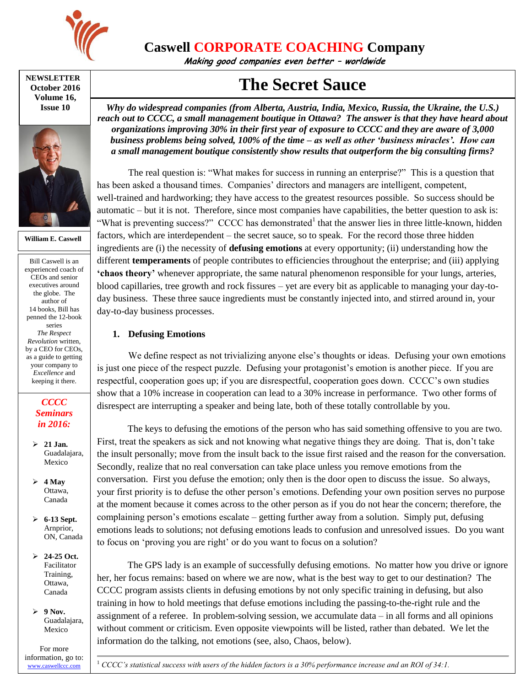

**Caswell CORPORATE COACHING Company**

**Making good companies even better – worldwide**

**NEWSLETTER October 2016 Volume 16, Issue 10**



**William E. Caswell**

Bill Caswell is an experienced coach of CEOs and senior executives around the globe. The author of 14 books, Bill has penned the 12-book series *The Respect Revolution* written, by a CEO for CEOs, as a guide to getting your company to *Excellence* and keeping it there.

#### *CCCC Seminars in 2016:*

- **21 Jan.** Guadalajara, Mexico
- $\geq 4$  May Ottawa, Canada
- **6-13 Sept.** Arnprior, ON, Canada
- **24-25 Oct.** Facilitator Training, Ottawa, Canada

 $\geq 9$  Nov. Guadalajara, Mexico

For more information, go to: [www.caswellccc.com](http://www.caswellccc.com/)

# **The Secret Sauce**

*Why do widespread companies (from Alberta, Austria, India, Mexico, Russia, the Ukraine, the U.S.) reach out to CCCC, a small management boutique in Ottawa? The answer is that they have heard about organizations improving 30% in their first year of exposure to CCCC and they are aware of 3,000 business problems being solved, 100% of the time – as well as other 'business miracles'. How can a small management boutique consistently show results that outperform the big consulting firms?*

The real question is: "What makes for success in running an enterprise?" This is a question that has been asked a thousand times. Companies' directors and managers are intelligent, competent, well-trained and hardworking; they have access to the greatest resources possible. So success should be automatic – but it is not. Therefore, since most companies have capabilities, the better question to ask is: "What is preventing success?" CCCC has demonstrated<sup>1</sup> that the answer lies in three little-known, hidden factors, which are interdependent – the secret sauce, so to speak. For the record those three hidden ingredients are (i) the necessity of **defusing emotions** at every opportunity; (ii) understanding how the different **temperaments** of people contributes to efficiencies throughout the enterprise; and (iii) applying **'chaos theory'** whenever appropriate, the same natural phenomenon responsible for your lungs, arteries, blood capillaries, tree growth and rock fissures – yet are every bit as applicable to managing your day-today business. These three sauce ingredients must be constantly injected into, and stirred around in, your day-to-day business processes.

## **1. Defusing Emotions**

We define respect as not trivializing anyone else's thoughts or ideas. Defusing your own emotions is just one piece of the respect puzzle. Defusing your protagonist's emotion is another piece. If you are respectful, cooperation goes up; if you are disrespectful, cooperation goes down. CCCC's own studies show that a 10% increase in cooperation can lead to a 30% increase in performance. Two other forms of disrespect are interrupting a speaker and being late, both of these totally controllable by you.

The keys to defusing the emotions of the person who has said something offensive to you are two. First, treat the speakers as sick and not knowing what negative things they are doing. That is, don't take the insult personally; move from the insult back to the issue first raised and the reason for the conversation. Secondly, realize that no real conversation can take place unless you remove emotions from the conversation. First you defuse the emotion; only then is the door open to discuss the issue. So always, your first priority is to defuse the other person's emotions. Defending your own position serves no purpose at the moment because it comes across to the other person as if you do not hear the concern; therefore, the complaining person's emotions escalate – getting further away from a solution. Simply put, defusing emotions leads to solutions; not defusing emotions leads to confusion and unresolved issues. Do you want to focus on 'proving you are right' or do you want to focus on a solution?

The GPS lady is an example of successfully defusing emotions. No matter how you drive or ignore her, her focus remains: based on where we are now, what is the best way to get to our destination? The CCCC program assists clients in defusing emotions by not only specific training in defusing, but also training in how to hold meetings that defuse emotions including the passing-to-the-right rule and the assignment of a referee. In problem-solving session, we accumulate data – in all forms and all opinions without comment or criticism. Even opposite viewpoints will be listed, rather than debated. We let the information do the talking, not emotions (see, also, Chaos, below).

<sup>1</sup> *CCCC's statistical success with users of the hidden factors is a 30% performance increase and an ROI of 34:1.*